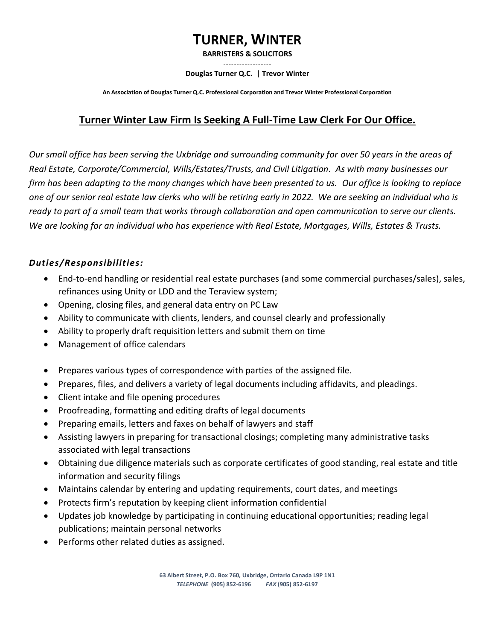# **TURNER, WINTER**

**BARRISTERS & SOLICITORS**

# **˗˗˗˗˗˗˗˗˗˗˗˗˗˗˗˗˗˗**

#### **Douglas Turner Q.C. | Trevor Winter**

**An Association of Douglas Turner Q.C. Professional Corporation and Trevor Winter Professional Corporation**

# **Turner Winter Law Firm Is Seeking A Full-Time Law Clerk For Our Office.**

*Our small office has been serving the Uxbridge and surrounding community for over 50 years in the areas of Real Estate, Corporate/Commercial, Wills/Estates/Trusts, and Civil Litigation. As with many businesses our firm has been adapting to the many changes which have been presented to us. Our office is looking to replace one of our senior real estate law clerks who will be retiring early in 2022. We are seeking an individual who is ready to part of a small team that works through collaboration and open communication to serve our clients. We are looking for an individual who has experience with Real Estate, Mortgages, Wills, Estates & Trusts.* 

## *Duties/Responsibilities:*

- End-to-end handling or residential real estate purchases (and some commercial purchases/sales), sales, refinances using Unity or LDD and the Teraview system;
- Opening, closing files, and general data entry on PC Law
- Ability to communicate with clients, lenders, and counsel clearly and professionally
- Ability to properly draft requisition letters and submit them on time
- Management of office calendars
- Prepares various types of correspondence with parties of the assigned file.
- Prepares, files, and delivers a variety of legal documents including affidavits, and pleadings.
- Client intake and file opening procedures
- Proofreading, formatting and editing drafts of legal documents
- Preparing emails, letters and faxes on behalf of lawyers and staff
- Assisting lawyers in preparing for transactional closings; completing many administrative tasks associated with legal transactions
- Obtaining due diligence materials such as corporate certificates of good standing, real estate and title information and security filings
- Maintains calendar by entering and updating requirements, court dates, and meetings
- Protects firm's reputation by keeping client information confidential
- Updates job knowledge by participating in continuing educational opportunities; reading legal publications; maintain personal networks
- Performs other related duties as assigned.